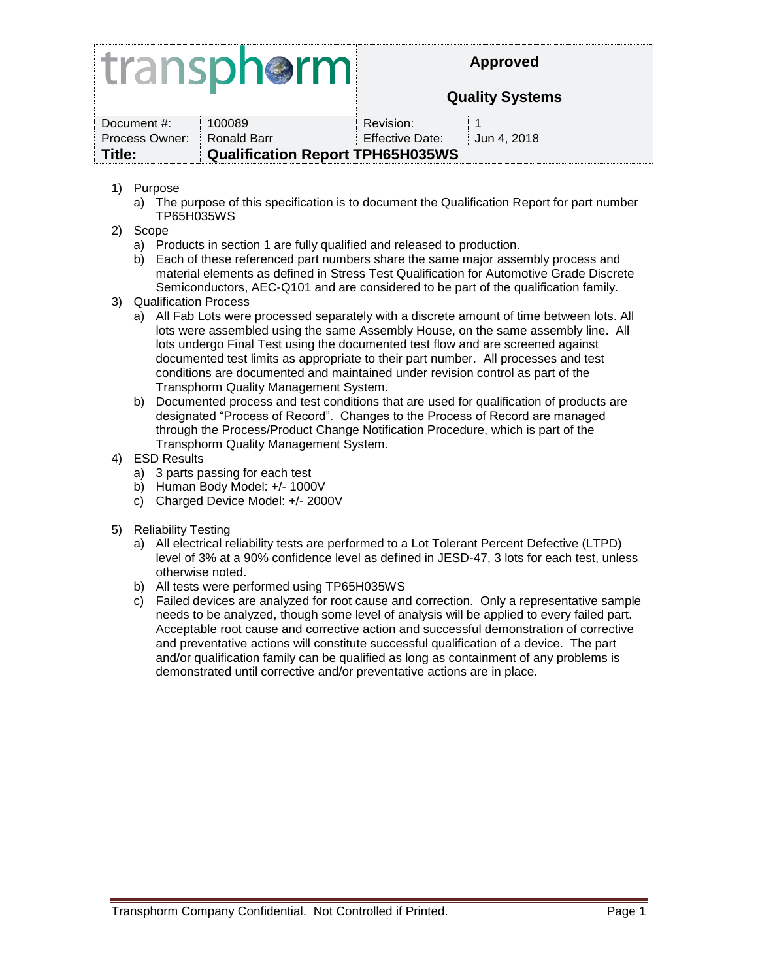# transphorm

**Quality Systems**

| Document #:                                       | 100089 | Revision:       |               |  |
|---------------------------------------------------|--------|-----------------|---------------|--|
| Process Owner: Ronald Barr                        |        | Effective Date: | i Jun 4. 2018 |  |
| <b>Qualification Report TPH65H035WS</b><br>Title: |        |                 |               |  |
|                                                   |        |                 |               |  |

- 1) Purpose
	- a) The purpose of this specification is to document the Qualification Report for part number TP65H035WS
- 2) Scope
	- a) Products in section 1 are fully qualified and released to production.
	- b) Each of these referenced part numbers share the same major assembly process and material elements as defined in Stress Test Qualification for Automotive Grade Discrete Semiconductors, AEC-Q101 and are considered to be part of the qualification family.
- 3) Qualification Process
	- a) All Fab Lots were processed separately with a discrete amount of time between lots. All lots were assembled using the same Assembly House, on the same assembly line. All lots undergo Final Test using the documented test flow and are screened against documented test limits as appropriate to their part number. All processes and test conditions are documented and maintained under revision control as part of the Transphorm Quality Management System.
	- b) Documented process and test conditions that are used for qualification of products are designated "Process of Record". Changes to the Process of Record are managed through the Process/Product Change Notification Procedure, which is part of the Transphorm Quality Management System.
- 4) ESD Results
	- a) 3 parts passing for each test
	- b) Human Body Model: +/- 1000V
	- c) Charged Device Model: +/- 2000V
- 5) Reliability Testing
	- a) All electrical reliability tests are performed to a Lot Tolerant Percent Defective (LTPD) level of 3% at a 90% confidence level as defined in JESD-47, 3 lots for each test, unless otherwise noted.
	- b) All tests were performed using TP65H035WS
	- c) Failed devices are analyzed for root cause and correction. Only a representative sample needs to be analyzed, though some level of analysis will be applied to every failed part. Acceptable root cause and corrective action and successful demonstration of corrective and preventative actions will constitute successful qualification of a device. The part and/or qualification family can be qualified as long as containment of any problems is demonstrated until corrective and/or preventative actions are in place.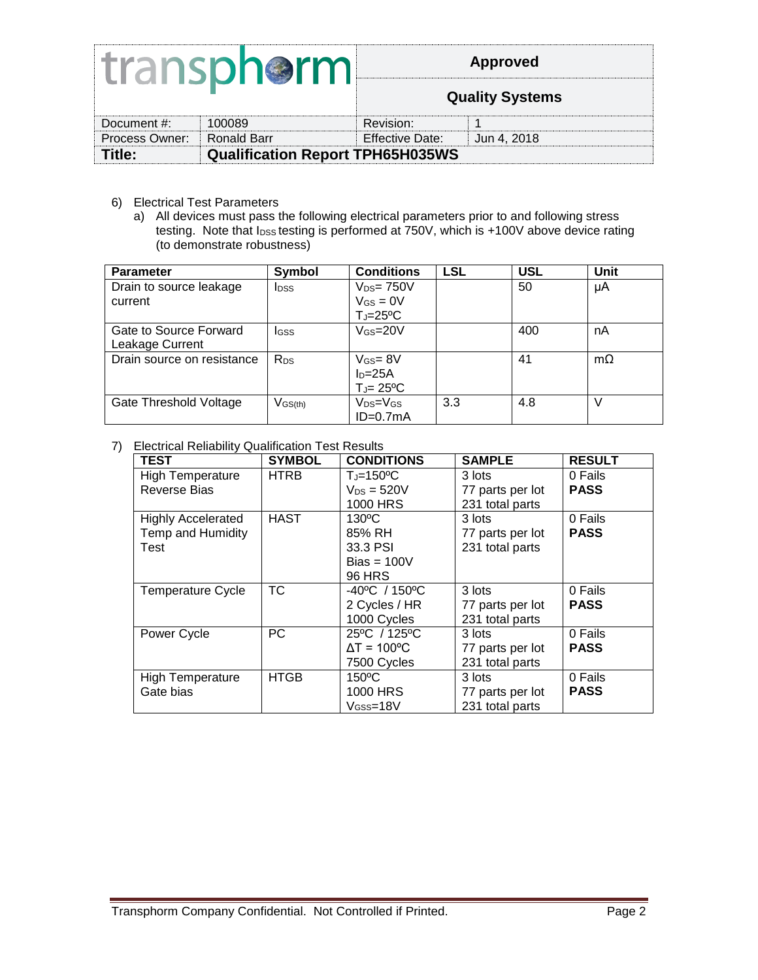# transphorm

#### **Approved**

**Quality Systems**

| Document #:                       | 100089                                  | Revision:         |              |  |
|-----------------------------------|-----------------------------------------|-------------------|--------------|--|
| <b>Process Owner: Ronald Barr</b> |                                         | Effective Date: ⊺ | ⊟Jun 4. 2018 |  |
| Title:                            | <b>Qualification Report TPH65H035WS</b> |                   |              |  |

- 6) Electrical Test Parameters
	- a) All devices must pass the following electrical parameters prior to and following stress testing. Note that lpss testing is performed at 750V, which is +100V above device rating (to demonstrate robustness)

| <b>Parameter</b>           | Symbol                             | <b>Conditions</b>         | <b>LSL</b> | <b>USL</b> | Unit      |
|----------------------------|------------------------------------|---------------------------|------------|------------|-----------|
| Drain to source leakage    | <b>I</b> <sub>DSS</sub>            | $V_{DS} = 750V$           |            | 50         | μA        |
| current                    |                                    | $V_{GS} = 0V$             |            |            |           |
|                            |                                    | $T_J = 25$ <sup>o</sup> C |            |            |           |
| Gate to Source Forward     | <b>I</b> GSS                       | $V$ <sub>GS</sub> = $20V$ |            | 400        | nA        |
| Leakage Current            |                                    |                           |            |            |           |
| Drain source on resistance | R <sub>DS</sub>                    | $V$ Gs = $8V$             |            | 41         | $m\Omega$ |
|                            |                                    | $I_D = 25A$               |            |            |           |
|                            |                                    | $T_J = 25$ <sup>o</sup> C |            |            |           |
| Gate Threshold Voltage     | $V$ <sub>GS<math>(th)</math></sub> | $V_{DS}=V_{GS}$           | 3.3        | 4.8        |           |
|                            |                                    | $ID=0.7mA$                |            |            |           |

#### 7) Electrical Reliability Qualification Test Results

| <b>TEST</b>               | <b>SYMBOL</b> | <b>CONDITIONS</b>                  | <b>SAMPLE</b>    | <b>RESULT</b> |
|---------------------------|---------------|------------------------------------|------------------|---------------|
| <b>High Temperature</b>   | <b>HTRB</b>   | $T_J = 150$ <sup>o</sup> C         | 3 lots           | 0 Fails       |
| <b>Reverse Bias</b>       |               | $V_{DS} = 520V$                    | 77 parts per lot | <b>PASS</b>   |
|                           |               | 1000 HRS                           | 231 total parts  |               |
| <b>Highly Accelerated</b> | <b>HAST</b>   | $130^{\circ}$ C                    | 3 lots           | 0 Fails       |
| Temp and Humidity         |               | 85% RH                             | 77 parts per lot | <b>PASS</b>   |
| Test                      |               | 33.3 PSI                           | 231 total parts  |               |
|                           |               | $Bias = 100V$                      |                  |               |
|                           |               | <b>96 HRS</b>                      |                  |               |
| <b>Temperature Cycle</b>  | <b>TC</b>     | $-40^{\circ}$ C / 150 $^{\circ}$ C | 3 lots           | 0 Fails       |
|                           |               | 2 Cycles / HR                      | 77 parts per lot | <b>PASS</b>   |
|                           |               | 1000 Cycles                        | 231 total parts  |               |
| Power Cycle               | PC            | 25°C / 125°C                       | 3 lots           | 0 Fails       |
|                           |               | $\Delta T = 100^{\circ}$ C         | 77 parts per lot | <b>PASS</b>   |
|                           |               | 7500 Cycles                        | 231 total parts  |               |
| <b>High Temperature</b>   | <b>HTGB</b>   | $150^{\circ}$ C                    | 3 lots           | 0 Fails       |
| Gate bias                 |               | 1000 HRS                           | 77 parts per lot | <b>PASS</b>   |
|                           |               | $V$ <sub>GSS</sub> =18 $V$         | 231 total parts  |               |